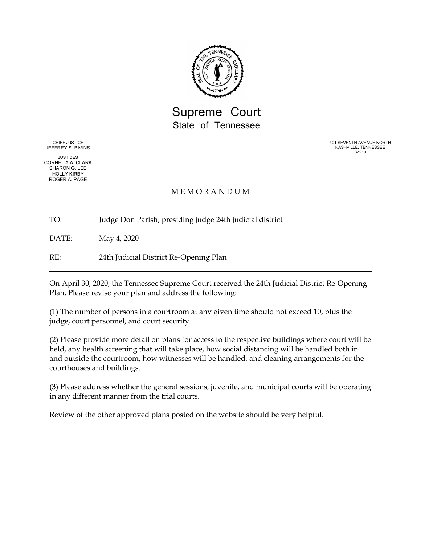

Supreme Court State of Tennessee

CHIEF JUSTICE JEFFREY S. BIVINS

JUSTICES CORNELIA A. CLARK SHARON G. LEE HOLLY KIRBY ROGER A. PAGE

401 SEVENTH AVENUE NORTH NASHVILLE, TENNESSEE 37219

## M E M O R A N D U M

TO: Judge Don Parish, presiding judge 24th judicial district

DATE: May 4, 2020

RE: 24th Judicial District Re-Opening Plan

On April 30, 2020, the Tennessee Supreme Court received the 24th Judicial District Re-Opening Plan. Please revise your plan and address the following:

(1) The number of persons in a courtroom at any given time should not exceed 10, plus the judge, court personnel, and court security.

(2) Please provide more detail on plans for access to the respective buildings where court will be held, any health screening that will take place, how social distancing will be handled both in and outside the courtroom, how witnesses will be handled, and cleaning arrangements for the courthouses and buildings.

(3) Please address whether the general sessions, juvenile, and municipal courts will be operating in any different manner from the trial courts.

Review of the other approved plans posted on the website should be very helpful.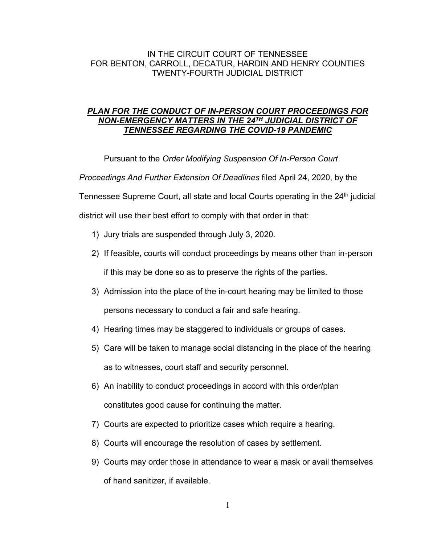## IN THE CIRCUIT COURT OF TENNESSEE FOR BENTON, CARROLL, DECATUR, HARDIN AND HENRY COUNTIES TWENTY-FOURTH JUDICIAL DISTRICT

## *PLAN FOR THE CONDUCT OF IN-PERSON COURT PROCEEDINGS FOR NON-EMERGENCY MATTERS IN THE 24TH JUDICIAL DISTRICT OF TENNESSEE REGARDING THE COVID-19 PANDEMIC*

Pursuant to the *Order Modifying Suspension Of In-Person Court* 

*Proceedings And Further Extension Of Deadlines* filed April 24, 2020, by the

Tennessee Supreme Court, all state and local Courts operating in the 24<sup>th</sup> judicial

district will use their best effort to comply with that order in that:

- 1) Jury trials are suspended through July 3, 2020.
- 2) If feasible, courts will conduct proceedings by means other than in-person if this may be done so as to preserve the rights of the parties.
- 3) Admission into the place of the in-court hearing may be limited to those persons necessary to conduct a fair and safe hearing.
- 4) Hearing times may be staggered to individuals or groups of cases.
- 5) Care will be taken to manage social distancing in the place of the hearing as to witnesses, court staff and security personnel.
- 6) An inability to conduct proceedings in accord with this order/plan constitutes good cause for continuing the matter.
- 7) Courts are expected to prioritize cases which require a hearing.
- 8) Courts will encourage the resolution of cases by settlement.
- 9) Courts may order those in attendance to wear a mask or avail themselves of hand sanitizer, if available.